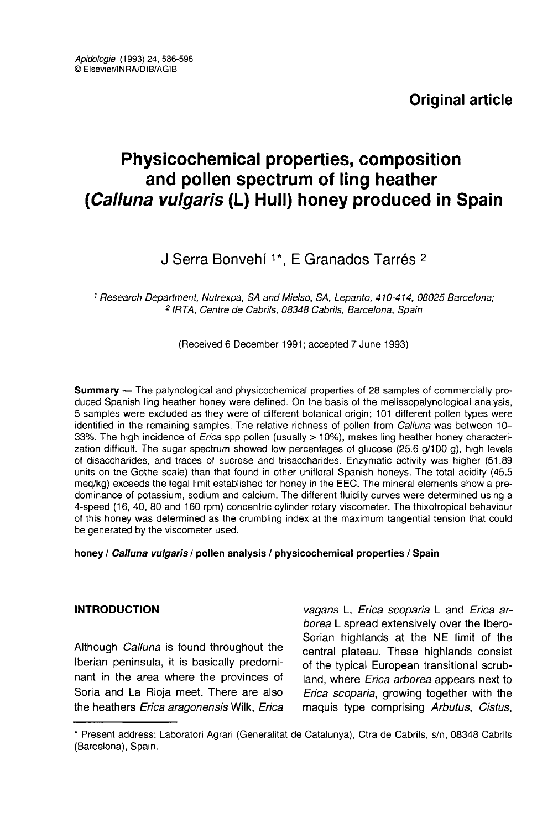# Physicochemical properties, composition and pollen spectrum of ling heather (Calluna vulgaris (L) Hull) honey produced in Spain

## J Serra Bonvehí<sup>1\*</sup>, E Granados Tarrés<sup>2</sup>

<sup>1</sup> Research Department, Nutrexpa, SA and Mielso, SA, Lepanto, 410-414, 08025 Barcelona; artment, Nutrexpa, SA and Mielso, SA, Lepanto, 410-414, 0<br><sup>2</sup> IRTA, Centre de Cabrils, 08348 Cabrils, Barcelona, Spain

(Received 6 December 1991; accepted 7 June 1993)

Summary — The palynological and physicochemical properties of 28 samples of commercially produced Spanish ling heather honey were defined. On the basis of the melissopalynological analysis, 5 samples were excluded as they were of different botanical origin; 101 different pollen types were identified in the remaining samples. The relative richness of pollen from Calluna was between 10- 33%. The high incidence of *Erica* spp pollen (usually > 10%), makes ling heather honey characterization difficult. The sugar spectrum showed low percentages of glucose (25.6 g/100 g), high levels of disaccharides, and traces of sucrose and trisaccharides. Enzymatic activity was higher (51.89 units on the Gothe scale) than that found in other unifloral Spanish honeys. The total acidity (45.5 meq/kg) exceeds the legal limit established for honey in the EEC. The mineral elements show a predominance of potassium, sodium and calcium. The different fluidity curves were determined using a 4-speed (16, 40, 80 and 160 rpm) concentric cylinder rotary viscometer. The thixotropical behaviour of this honey was determined as the crumbling index at the maximum tangential tension that could be generated by the viscometer used.

#### honey / Calluna vulgaris / pollen analysis / physicochemical properties / Spain

### INTRODUCTION

Although Calluna is found throughout the Iberian peninsula, it is basically predominant in the area where the provinces of Soria and La Rioja meet. There are also the heathers Erica aragonensis Wilk, Erica vagans L, Erica scoparia L and Erica arborea L spread extensively over the Ibero-Sorian highlands at the NE limit of the central plateau. These highlands consist of the typical European transitional scrubland, where *Erica arborea* appears next to Erica scoparia, growing together with the maquis type comprising Arbutus, Cistus,

<sup>\*</sup> Present address: Laboratori Agrari (Generalitat de Catalunya), Ctra de Cabrils, s/n, 08348 Cabrils (Barcelona), Spain.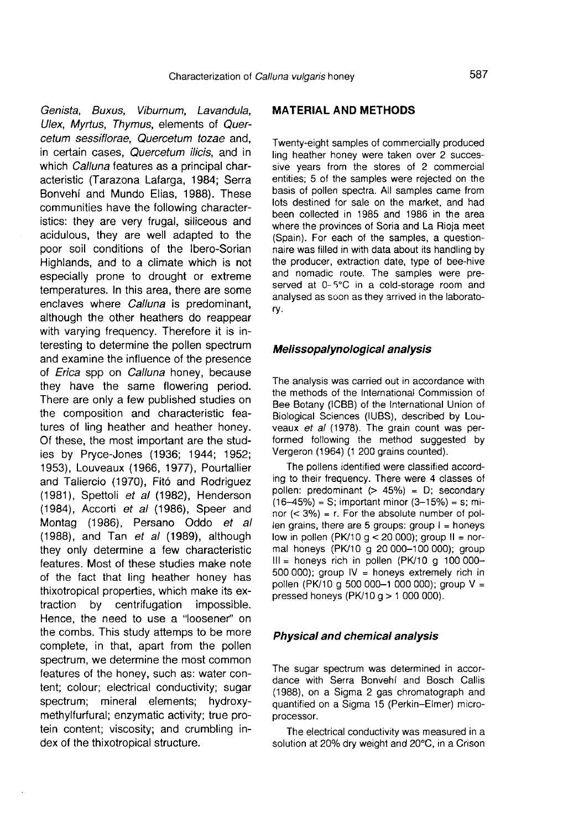Genista, Buxus, Viburnum, Lavandula, Ulex, Myrtus, Thymus, elements of Quercetum sessiflorae, Quercetum tozae and, in certain cases, Quercetum ilicis, and in which Calluna features as a principal characteristic (Tarazona Lafarga, 1984; Serra Bonvehí and Mundo Elias, 1988). These communities have the following characteristics: they are very frugal, siliceous and acidulous, they are well adapted to the poor soil conditions of the Ibero-Sorian Highlands, and to a climate which is not especially prone to drought or extreme temperatures. In this area, there are some enclaves where Calluna is predominant, although the other heathers do reappear with varying frequency. Therefore it is interesting to determine the pollen spectrum and examine the influence of the presence of *Erica* spp on *Calluna* honey, because they have the same flowering period. There are only a few published studies on the composition and characteristic features of ling heather and heather honey. Of these, the most important are the studies by Pryce-Jones (1936; 1944; 1952; 1953), Louveaux (1966, 1977), Pourtallier and Taliercio (1970), Fitó and Rodriguez (1981), Spettoli et al (1982), Henderson (1984), Accorti et al (1986), Speer and Montag (1986), Persano Oddo et al (1988), and Tan et al (1989), although they only determine a few characteristic features. Most of these studies make note of the fact that ling heather honey has thixotropical properties, which make its extraction by centrifugation impossible. Hence, the need to use a "loosener" on the combs. This study attemps to be more complete, in that, apart from the pollen spectrum, we determine the most common features of the honey, such as: water content; colour; electrical conductivity; sugar spectrum; mineral elements; hydroxymethylfurfural; enzymatic activity; true protein content; viscosity; and crumbling index of the thixotropical structure.

#### MATERIAL AND METHODS

Twenty-eight samples of commercially produced ling heather honey were taken over 2 successive years from the stores of 2 commercial entities; 5 of the samples were rejected on the basis of pollen spectra. All samples came from lots destined for sale on the market, and had been collected in 1985 and 1986 in the area where the provinces of Soria and La Rioja meet (Spain). For each of the samples, a questionnaire was filled in with data about its handling by the producer, extraction date, type of bee-hive and nomadic route. The samples were preserved at 0-5°C in a cold-storage room and analysed as soon as they arrived in the laboratory.

#### Melissopalynological analysis

The analysis was carried out in accordance with the methods of the International Commission of Bee Botany (ICBB) of the International Union of Biological Sciences (IUBS), described by Louveaux et al (1978). The grain count was performed following the method suggested by Vergeron (1964) (1 200 grains counted).

The pollens identified were classified according to their frequency. There were 4 classes of pollen: predominant  $(> 45%) = D$ ; secondary  $(16-45%) = S$ ; important minor  $(3-15%) = s$ ; minor  $( $3\%$ ) = r. For the absolute number of pol$ len grains, there are 5 groups: group  $I =$  honeys low in pollen (PK/10  $g$  < 20 000); group  $II = nor$ mal honeys (PK/10 g 20 000-100 000); group III = honeys rich in pollen (PK/10 g 100 000-500 000); group  $IV =$  honeys extremely rich in pollen (PK/10 g 500 000-1 000 000); group V = pressed honeys (PK/10 g > 1 000 000).

#### Physical and chemical analysis

The sugar spectrum was determined in accordance with Serra Bonvehí and Bosch Callis (1988), on a Sigma 2 gas chromatograph and quantified on a Sigma 15 (Perkin-Elmer) microprocessor.

The electrical conductivity was measured in a solution at 20% dry weight and 20°C, in a Crison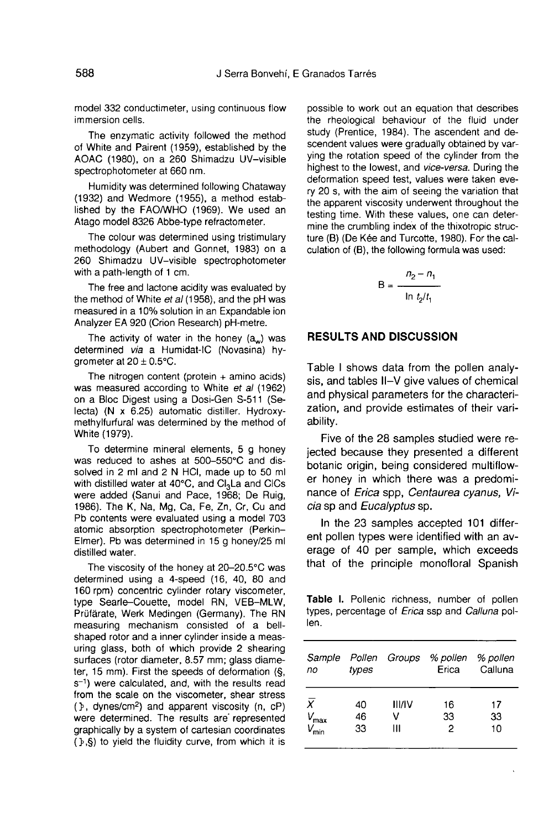model 332 conductimeter, using continuous flow immersion cells.

The enzymatic activity followed the method of White and Pairent (1959), established by the AOAC (1980), on a 260 Shimadzu UV-visible spectrophotometer at 660 nm.

Humidity was determined following Chataway (1932) and Wedmore (1955), a method established by the FAO/WHO (1969). We used an Atago model 8326 Abbe-type refractometer.

The colour was determined using tristimulary methodology (Aubert and Gonnet, 1983) on a 260 Shimadzu UV-visible spectrophotometer with a path-length of 1 cm.

The free and lactone acidity was evaluated by the method of White et al (1958), and the pH was measured in a 10% solution in an Expandable ion Analyzer EA 920 (Crion Research) pH-metre.

The activity of water in the honey  $(a_n)$  was determined via a Humidat-IC (Novasina) hygrometer at  $20 \pm 0.5$ °C.

The nitrogen content (protein  $+$  amino acids) was measured according to White et al (1962) on a Bloc Digest using a Dosi-Gen S-511 (Selecta) (N x 6.25) automatic distiller. Hydroxymethylfurfural was determined by the method of White (1979).

To determine mineral elements, 5 g honey was reduced to ashes at 500-550°C and diswas reduced to asnes at 500–550°C and dis-<br>solved in 2 ml and 2 N HCl, made up to 50 ml<br>with distilled water at 40°C, and Cl<sub>3</sub>La and ClCs<br>were added (Sanui and Pace, 1968; De Ruig were added (Sanui and Pace, 1968; De Ruig, 1986). The K, Na, Mg, Ca, Fe, Zn, Cr, Cu and Pb contents were evaluated using a model 703 atomic absorption spectrophotometer (Perkin-Elmer). Pb was determined in 15 g honey/25 ml distilled water.

The viscosity of the honey at 20-20.5°C was determined using a 4-speed (16, 40, 80 and 160 rpm) concentric cylinder rotary viscometer, type Searle-Couette, model RN, VEB-MLW, Prüfärate, Werk Medingen (Germany). The RN measuring mechanism consisted of a bellshaped rotor and a inner cylinder inside a measuring glass, both of which provide 2 shearing surfaces (rotor diameter, 8.57 mm; glass diameter, 15 mm). First the speeds of deformation (§,  $s^{-1}$ ) were calculated, and, with the results read from the scale on the viscometer, shear stress  $(p, dynes/cm<sup>2</sup>)$  and apparent viscosity  $(n, cP)$  were determined. The results are represented graphically by a system of cartesian coordinates (þ,§) to yield the fluidity curve, from which it is

possible to work out an equation that describes the rheological behaviour of the fluid under study (Prentice, 1984). The ascendent and descendent values were gradually obtained by varying the rotation speed of the cylinder from the highest to the lowest, and vice-versa. During the deformation speed test, values were taken every 20 s, with the aim of seeing the variation that the apparent viscosity underwent throughout the testing time. With these values, one can determine the crumbling index of the thixotropic structure (B) (De Kée and Turcotte, 1980). For the calculation of (B), the following formula was used:

$$
B = \frac{n_2 - n_1}{\ln t_2 / t_1}
$$

#### RESULTS AND DISCUSSION

Table I shows data from the pollen analysis, and tables II-V give values of chemical and physical parameters for the characterization, and provide estimates of their variability.

Five of the 28 samples studied were rejected because they presented a different botanic origin, being considered multiflower honey in which there was a predomi nance of Erica spp, Centaurea cyanus, Vicia sp and Eucalyptus sp.

In the 23 samples accepted 101 different pollen types were identified with an average of 40 per sample, which exceeds that of the principle monofloral Spanish

Table I. Pollenic richness, number of pollen types, percentage of Erica ssp and Calluna pollen.

| no                                        | types          |                         | Sample Pollen Groups % pollen<br>Erica | % pollen<br>Calluna |
|-------------------------------------------|----------------|-------------------------|----------------------------------------|---------------------|
| X<br>$V_{\text{max}}$<br>$V_{\text{min}}$ | 40<br>46<br>33 | <b>III/IV</b><br>V<br>Ш | 16<br>33<br>2                          | 17<br>33<br>10      |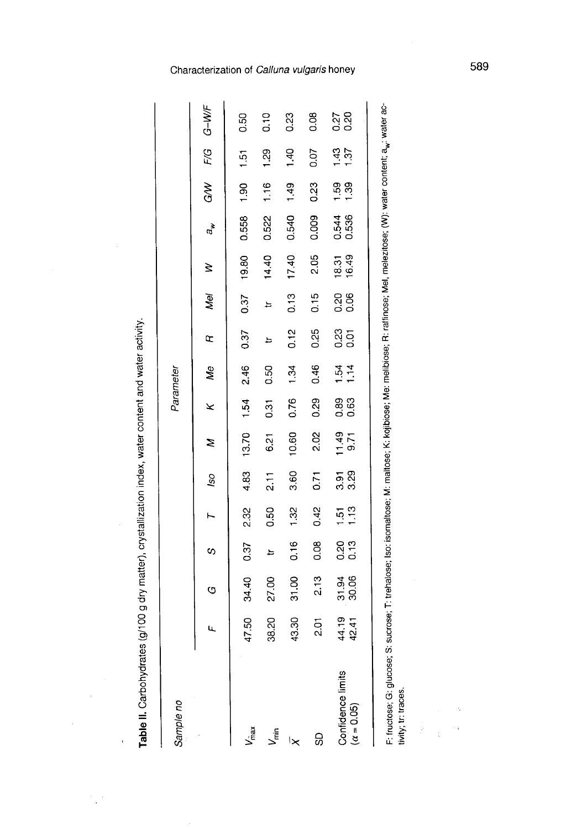| CIGE ABRES USE function Administration and all absolution of the contract of the contract of the contract of the contract of the contract of the contract of the contract of the contract of the contract of the contract of<br>きころ ニューションシン こうろこ こくろここ こく |
|------------------------------------------------------------------------------------------------------------------------------------------------------------------------------------------------------------------------------------------------------------|
|                                                                                                                                                                                                                                                            |
|                                                                                                                                                                                                                                                            |
|                                                                                                                                                                                                                                                            |
|                                                                                                                                                                                                                                                            |
|                                                                                                                                                                                                                                                            |
| $\frac{3}{1}$                                                                                                                                                                                                                                              |
|                                                                                                                                                                                                                                                            |
| e ala II Oshaharum                                                                                                                                                                                                                                         |
| í                                                                                                                                                                                                                                                          |

| Sample no                              |                |                                                                                                                                                      |              |                |                |                   |            | Parameter        |            |              |                |                |                  |      |                |
|----------------------------------------|----------------|------------------------------------------------------------------------------------------------------------------------------------------------------|--------------|----------------|----------------|-------------------|------------|------------------|------------|--------------|----------------|----------------|------------------|------|----------------|
|                                        | ų,             | Ò                                                                                                                                                    | S)           |                | $\overline{c}$ | Ż                 | ×          | Ne               | Œ          | Mel          | $\geq$         | $a_w$          | GW               | F/G  | G-W/F          |
| $V_{\text{max}}$                       | 47.50          | 34.40                                                                                                                                                | 0.37         | 2.32           | 4.83           | 13.70             | 1.54       | 2.46             | 0.37       | 0.37         | 19.80          | 0.558          | 1.90             | 1.51 | 0.50           |
| $V_{min}$                              | 38.20          | 27.00                                                                                                                                                | $\ddot{}$    | 0.50           | $\frac{1}{2}$  | 6.21              | 0.31       | 0.50             | F          | $\pm$        | 14.40          | 0.522          | 116              | 1.29 | $\frac{0}{10}$ |
| $\overline{\mathbf{x}}$                | 43.30          | 31.00                                                                                                                                                | 0.16         | 1.32           | 3.60           | 10.60             | 0.76       | 1.34             | 0.12       | 0.13         | 17.40          | 0.540          | 1.49             | 1.40 | 0.23           |
| 8                                      | <b>2.01</b>    | 2.13                                                                                                                                                 | 0.08         | 0.42           | $\frac{71}{2}$ | 2.02              | 0.29       | 0.46             | 0.25       | 0.15         | 2.05           | 0.009          | 0.23             | 0.07 | 0.08           |
| Confidence limits<br>$(\alpha = 0.05)$ | 44.19<br>42.41 | 31.96<br>30.06                                                                                                                                       | 0.29<br>0.59 | $\frac{5}{13}$ | 55<br>3.29     | $\frac{49}{9.71}$ | 88<br>0.63 | $\frac{54}{114}$ | ន្លឺ<br>០០ | 0.26<br>0.06 | 18.31<br>16.49 | 0.536<br>0.536 | $1.59$<br>$1.39$ | 1.37 | 0.27<br>0.20   |
| F: fructose; G: glucose;               |                | S: sucrose; T: trehalose; Iso: isomaltose; M: maltose; K: kojibiose; Me: melibiose; R: raffinose; Mel, melezitose; (W): water content; aw: water ac- |              |                |                |                   |            |                  |            |              |                |                |                  |      |                |

tivity; tr: traces.

×,

## Characterization of Calluna vulgaris honey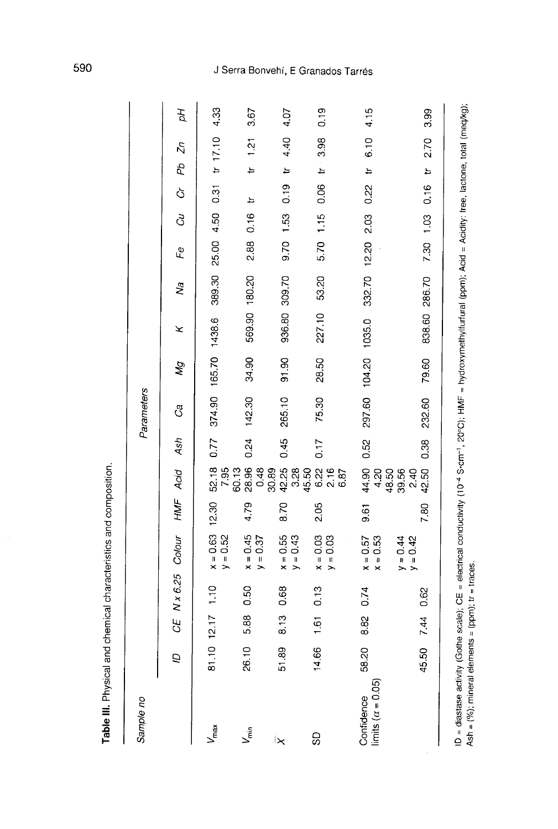| Sample no                                                                                                                                                                                                                                                     |                        |       |          |                                    |       |                                 |      | Parameters           |               |               |                   |            |           |                  |          |      |      |
|---------------------------------------------------------------------------------------------------------------------------------------------------------------------------------------------------------------------------------------------------------------|------------------------|-------|----------|------------------------------------|-------|---------------------------------|------|----------------------|---------------|---------------|-------------------|------------|-----------|------------------|----------|------|------|
|                                                                                                                                                                                                                                                               | ā                      | 9D    | N x 6.25 | Colour                             | HMF   | Acid                            | Ash  | ී                    | ŊИ            | ×             | Ş                 | Fe         | S         | Ò                | qд       | Σn   | Fd   |
| $\sum_{n \geq 0}$                                                                                                                                                                                                                                             | $\overline{a}$<br>81.1 | 12.17 | 1.10     | $x = 0.63$<br>$y = 0.52$           | 12.30 | 52.18<br>7.95                   | 0.77 | 374.90 165.70 1438.6 |               |               | 389.30            | 25.00 4.50 |           | 0.31             | tr 17.10 |      | 4.33 |
| $\mathbf{v}^{\mathbf{m}}_{\mathbf{m}}$                                                                                                                                                                                                                        | $\circ$<br>86.         | 588   | 0.50     | $x = 0.45$<br>$y = 0.37$           | 4.79  | 28.96<br>0.48<br>60.13          | 0.24 | 142.30               | 34.90         | 569.90        | 180.20            | 2.88       | 0.16      | $\frac{1}{2}$    | $\pm$    | 1.21 | 3.67 |
| $\overline{\mathbf{x}}$                                                                                                                                                                                                                                       | õ,<br>51.5             | 8.13  | 0.68     | $x = 0.55$<br>$y = 0.43$           | 8.70  | 42.25<br>3.28<br>30.89          | 0.45 | 265.10               | 91.90         | 936.80        | 309.70            | 9.70 1.53  |           | 0.19             | ÷        | 4.40 | 4.07 |
| SD                                                                                                                                                                                                                                                            | 14.66                  | 1.61  | 0.13     | $x = 0.03$<br>$y = 0.03$           | 2.05  | 2.16<br>6.22<br>45.50<br>6.87   | 0.17 | 75.30                | 28.50         | 227.10        | 53.20             |            | 5.70 1.15 | $0.06$ tr $3.98$ |          |      | 0.19 |
| limits $(\alpha = 0.05)$<br>Confidence                                                                                                                                                                                                                        | 58.20                  | 8.82  | 0.74     | $x = 0.57$<br>$= 0.53$<br>$\times$ | 9.61  | 44.90<br>4.20                   | 0.52 | 297.60               | 104.20 1035.0 |               | 332.70 12.20 2.03 |            |           | $0.22$ tr        |          | 6.10 | 4.15 |
|                                                                                                                                                                                                                                                               | 45.50                  | 7.44  | 0.62     | $y = 0.44$<br>$y = 0.42$           | 7.80  | 42.50<br>48.56<br>39.56<br>2.40 | 0.38 | 232.60               | 79.60         | 838.60 286.70 |                   | 7.30 1.03  |           | 0.16             | $\pm$    | 2.70 | 3.99 |
| ID = diastase activity (Gothe scale); CE = electrical conductivity (10 <sup>-4</sup> S-cm <sup>-1</sup> , 20°C); HMF = hydroxymethylfurtural (ppm); Acid = Acidity: free, lactone, total (meq/kg);<br>Ash = $(96)$ ; mineral elements = $(ppm);$ tr = traces. |                        |       |          |                                    |       |                                 |      |                      |               |               |                   |            |           |                  |          |      |      |

Table III. Physical and chemical characteristics and composition.

590

## J Serra Bonvehí, E Granados Tarrés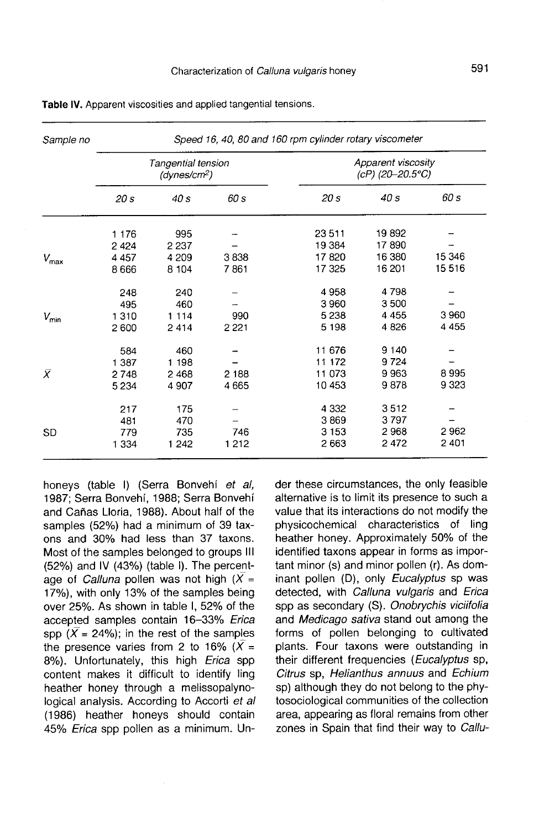|                            | and applied tangential tensions.                        |      |                                          |      |  |
|----------------------------|---------------------------------------------------------|------|------------------------------------------|------|--|
|                            | Speed 16, 40, 80 and 160 rpm cylinder rotary viscometer |      |                                          |      |  |
| ential tension<br>nes/cm²) |                                                         |      | Apparent viscosity<br>$(CP)$ (20-20.5°C) |      |  |
| 40 s                       | 60 s                                                    | 20 s | 40 s                                     | 60 s |  |

19892

17890

16 380

16 201

4798

3500

4 4 5 5

4826

9 1 4 0

9724

9963

9878

3512

3797

2968

2 4 7 2

 $\overline{\phantom{0}}$ 

15 346

15516

3960

4 4 5 5

 $\overline{a}$ 

8995

9 3 2 3

 $\overline{\phantom{0}}$ 

2962

2 4 0 1

23.511

19384

17820

17 3 25

4958

3960

5 2 3 8

5 1 9 8

11 676

11 172

11 073

10 453

4 3 3 2

3869

3 1 5 3

2 6 63

Table IV. Apparent viscosities and applied tar

Tangential tension  $(dynes/cm<sup>2</sup>)$ 

 $40s$ 

995

2 2 3 7

4 209

8 104

240

460

1 1 1 4

2414

460

1 198

2468

4 9 0 7

175

470

735

1 2 4 2

 $\overline{\phantom{0}}$ 

3838

7861

990

2 2 2 1

2 188

4665

 $\overline{a}$ 

746

1 2 1 2

Sample no

 $V_{\text{max}}$ 

 $V_{\text{min}}$ 

 $\bar{x}$ 

**SD** 

20 s

1 1 7 6

2424 4 4 5 7

8666

248

495

1 3 1 0

2 600

584

1 3 8 7

2748

5234

217

481

779

1 3 3 4

honeys (table I) (Serra Bonvehi et al, 1987; Serra Bonvehí, 1988; Serra Bonvehí and Cañas Lloria, 1988). About half of the samples (52%) had a minimum of 39 taxons and 30% had less than 37 taxons. Most of the samples belonged to groups III (52%) and IV (43%) (table I). The percentage of *Calluna* pollen was not high  $(X =$ 17%), with only 13% of the samples being over 25%. As shown in table I, 52% of the accepted samples contain 16-33% Erica spp ( $\overline{X}$  = 24%); in the rest of the samples the presence varies from 2 to 16%  $(X =$ 8%). Unfortunately, this high Erica spp content makes it difficult to identify ling heather honey through a melissopalynological analysis. According to Accorti et al (1986) heather honeys should contain 45% Erica spp pollen as a minimum. Un-

der these circumstances, the only feasible alternative is to limit its presence to such a value that its interactions do not modify the physicochemical characteristics of ling heather honey. Approximately 50% of the identified taxons appear in forms as important minor (s) and minor pollen (r). As dominant pollen (D), only Eucalyptus sp was detected, with Calluna vulgaris and Erica spp as secondary (S). Onobrychis viciifolia and *Medicago sativa* stand out among the forms of pollen belonging to cultivated plants. Four taxons were outstanding in their different frequencies (Eucalyptus sp, Citrus sp, Helianthus annuus and Echium sp) although they do not belong to the phytosociological communities of the collection area, appearing as floral remains from other zones in Spain that find their way to Callu-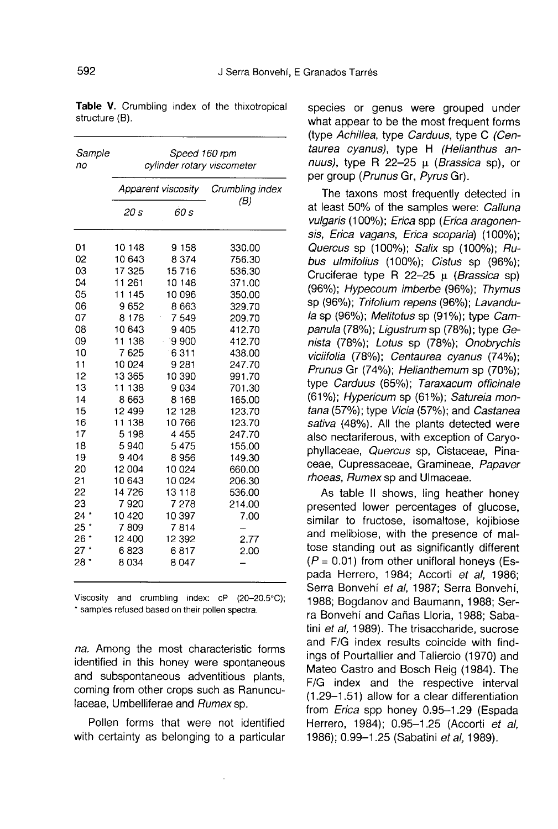| Sample<br>no | Speed 160 rpm<br>cylinder rotary viscometer |                    |                  |  |  |  |
|--------------|---------------------------------------------|--------------------|------------------|--|--|--|
|              |                                             | Apparent viscosity | Crumbling index  |  |  |  |
|              | 20 s                                        | 60 s               | (B)              |  |  |  |
| 01           | 10 148                                      | 9 1 5 8            | 330.00           |  |  |  |
| 02           | 10 643                                      | 8 3 7 4            | 756.30           |  |  |  |
| 03           | 17 325                                      | 15716              | 536.30           |  |  |  |
| 04           | 11 261                                      | 10 148             | 371.00           |  |  |  |
| 05           | 11 145                                      | 10096              | 350.00           |  |  |  |
| 06           | 9652                                        | 8663               | 329.70           |  |  |  |
| 07           | 8 1 7 8                                     | 7549               | 209.70           |  |  |  |
| 08           | 10643                                       | 9 4 0 5            | 412.70           |  |  |  |
| 09           | 11 138                                      | 9900               | 412.70           |  |  |  |
| 10           | 7625                                        | 6311               | 438.00           |  |  |  |
| 11           | 10 024                                      | 9 2 8 1            | 247.70           |  |  |  |
| 12           | 13 365                                      | 10 390             | 991.70           |  |  |  |
| 13           | 11 138                                      | 9034               | 701.30           |  |  |  |
| 14           | 8663                                        | 8 1 6 8            | 165.00           |  |  |  |
| 15           | 12 499                                      | 12 1 28            | 123.70           |  |  |  |
| 16           | 11 138                                      | 10766              | 123.70           |  |  |  |
| 17           | 5 1 9 8                                     | 4 4 5 5            | 247.70           |  |  |  |
| 18<br>19     | 5940                                        | 5 4 7 5            | 155.00           |  |  |  |
| 20           | 9404<br>12 004                              | 8956               | 149.30           |  |  |  |
| 21           | 10 643                                      | 10024<br>10 024    | 660.00<br>206.30 |  |  |  |
| 22           | 14 726                                      | 13 118             | 536.00           |  |  |  |
| 23           | 7 920                                       | 7 278              | 214.00           |  |  |  |
| 24 *         | 10420                                       | 10 397             | 7.00             |  |  |  |
| 25 *         | 7809                                        | 7814               |                  |  |  |  |
| 26 '         | 12 400                                      | 12 392             | 2.77             |  |  |  |
| 27           | 6823                                        | 6 817              | 2.00             |  |  |  |
| 28 *         | 8034                                        | 8047               |                  |  |  |  |
|              |                                             |                    |                  |  |  |  |

Table V. Crumbling index of the thixotropical structure (B).

Viscosity and crumbling index: cP (20-20.5°C); \* samples refused based on their pollen spectra.

na. Among the most characteristic forms identified in this honey were spontaneous and subspontaneous adventitious plants, coming from other crops such as Ranunculaceae, Umbelliferae and Rumex sp.

Pollen forms that were not identified with certainty as belonging to a particular species or genus were grouped under what appear to be the most frequent forms (type Achillea, type Carduus, type C (Centaurea cyanus), type H (Helianthus annuus), type R 22-25 μ (Brassica sp), or per group (Prunus Gr, Pyrus Gr).

The taxons most frequently detected in at least 50% of the samples were: Calluna vulgaris (100%); Erica spp (Erica aragonensis, Erica vagans, Erica scoparia) (100%); Quercus sp (100%); Salix sp (100%); Rubus ulmifolius (100%); Cistus sp (96%); Cruciferae type R 22-25 μ (Brassica sp) (96%); Hypecoum imberbe (96%); Thymus sp (96%); Trifolium repens (96%); Lavandula sp (96%); Melitotus sp (91%); type Campanula (78%); Ligustrum sp (78%); type Genista (78%); Lotus sp (78%); Onobrychis viciifolia (78%); Centaurea cyanus (74%); Prunus Gr (74%); Helianthemum sp (70%); type Carduus (65%); Taraxacum officinale (61%); Hypericum sp (61%); Satureia montana (57%); type Vicia (57%); and Castanea sativa (48%). All the plants detected were also nectariferous, with exception of Caryophyllaceae, Quercus sp, Cistaceae, Pinaceae, Cupressaceae, Gramineae, Papaver rhoeas, Rumex sp and Ulmaceae.

As table II shows, ling heather honey presented lower percentages of glucose, similar to fructose, isomaltose, kojibiose and melibiose, with the presence of maltose standing out as significantly different  $(P = 0.01)$  from other unifloral honeys (Espada Herrero, 1984; Accorti et al, 1986; Serra Bonvehí et al, 1987; Serra Bonvehí, 1988; Bogdanov and Baumann, 1988; Serra Bonvehí and Cañas Lloria, 1988; Sabatini et al, 1989). The trisaccharide, sucrose and F/G index results coincide with findings of Pourtallier and Taliercio (1970) and Mateo Castro and Bosch Reig (1984). The F/G index and the respective interval (1.29-1.51) allow for a clear differentiation from Erica spp honey 0.95-1.29 (Espada Herrero, 1984); 0.95-1.25 (Accorti et al, 1986); 0.99-1.25 (Sabatini et al, 1989).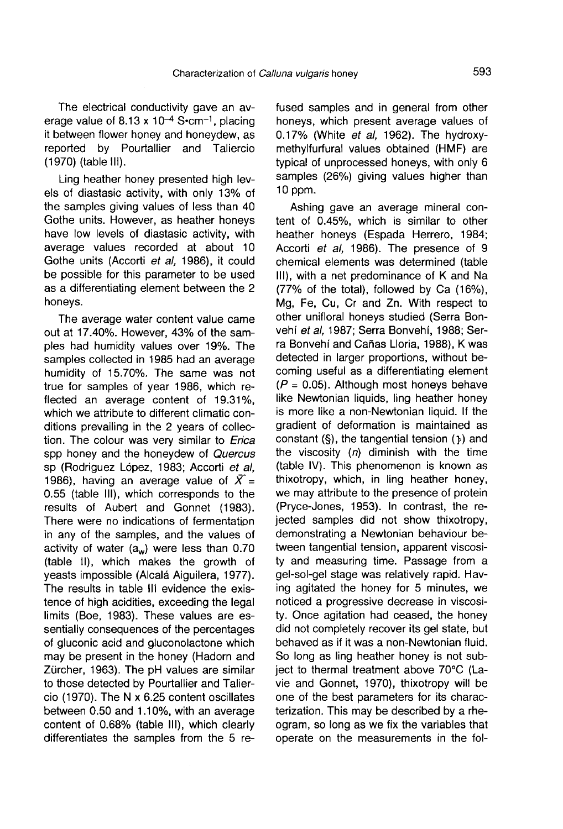The electrical conductivity gave an av-Characterization of *Calluna vulgaris* honey<br>The electrical conductivity gave an av-<br>erage value of 8.13 x 10<sup>-4</sup> S•cm<sup>-1</sup>, placing honeys, which p it between flower honey and honeydew, as reported by Pourtallier and Taliercio (1970) (table III).

Ling heather honey presented high levels of diastasic activity, with only 13% of the samples giving values of less than 40 Gothe units. However, as heather honeys have low levels of diastasic activity, with average values recorded at about 10 Gothe units (Accorti et al, 1986), it could be possible for this parameter to be used as a differentiating element between the 2 honeys.

The average water content value came out at 17.40%. However, 43% of the samples had humidity values over 19%. The samples collected in 1985 had an average humidity of 15.70%. The same was not true for samples of year 1986, which reflected an average content of 19.31%, which we attribute to different climatic conditions prevailing in the 2 years of collection. The colour was very similar to Erica spp honey and the honeydew of Quercus sp (Rodriguez López, 1983; Accorti *et al*, 1986), having an average value of  $\overline{X} =$ 0.55 (table III), which corresponds to the results of Aubert and Gonnet (1983). There were no indications of fermentation in any of the samples, and the values of activity of water  $(a_w)$  were less than 0.70 (table II), which makes the growth of yeasts impossible (Alcalá Aiguilera, 1977). The results in table III evidence the existence of high acidities, exceeding the legal limits (Boe, 1983). These values are essentially consequences of the percentages of gluconic acid and gluconolactone which may be present in the honey (Hadorn and Zürcher, 1963). The pH values are similar to those detected by Pourtallier and Taliercio (1970). The N x 6.25 content oscillates between 0.50 and 1.10%, with an average content of 0.68% (table III), which clearly differentiates the samples from the 5 re-

fused samples and in general from other honeys, which present average values of 0.17% (White et al, 1962). The hydroxymethylfurfural values obtained (HMF) are typical of unprocessed honeys, with only 6 samples (26%) giving values higher than 10 ppm.

Ashing gave an average mineral content of 0.45%, which is similar to other heather honeys (Espada Herrero, 1984; Accorti et al, 1986). The presence of 9 chemical elements was determined (table III), with a net predominance of K and Na (77% of the total), followed by Ca (16%), Mg, Fe, Cu, Cr and Zn. With respect to other unifloral honeys studied (Serra Bonvehí et al, 1987; Serra Bonvehí, 1988; Serra Bonvehí and Cañas Lloria, 1988), K was detected in larger proportions, without becoming useful as a differentiating element  $(P = 0.05)$ . Although most honeys behave like Newtonian liquids, ling heather honey is more like a non-Newtonian liquid. If the gradient of deformation is maintained as constant (§), the tangential tension (þ) and the viscosity  $(n)$  diminish with the time (table IV). This phenomenon is known as thixotropy, which, in ling heather honey, we may attribute to the presence of protein (Pryce-Jones, 1953). In contrast, the rejected samples did not show thixotropy, demonstrating a Newtonian behaviour between tangential tension, apparent viscosity and measuring time. Passage from a gel-sol-gel stage was relatively rapid. Having agitated the honey for 5 minutes, we noticed a progressive decrease in viscosity. Once agitation had ceased, the honey did not completely recover its gel state, but behaved as if it was a non-Newtonian fluid. So long as ling heather honey is not subject to thermal treatment above 70°C (Lavie and Gonnet, 1970), thixotropy will be one of the best parameters for its characterization. This may be described by a rheogram, so long as we fix the variables that operate on the measurements in the fol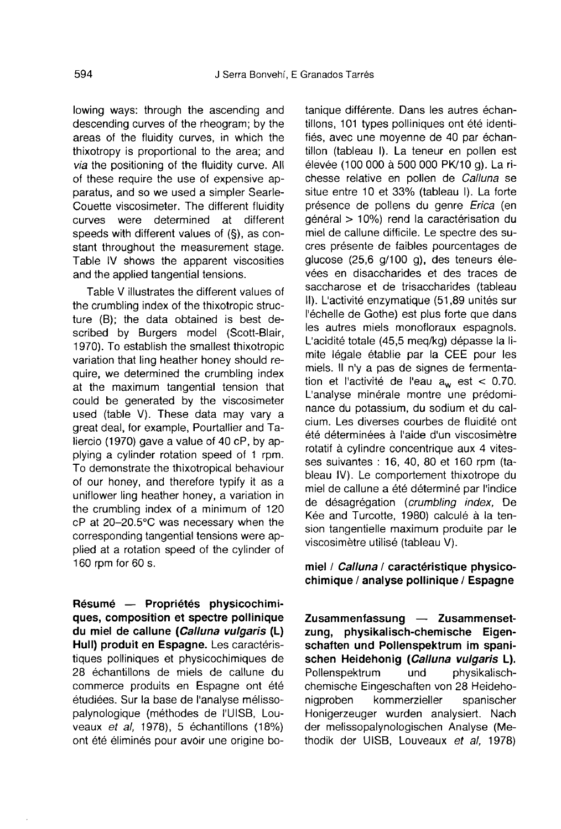lowing ways: through the ascending and descending curves of the rheogram; by the areas of the fluidity curves, in which the thixotropy is proportional to the area; and via the positioning of the fluidity curve. All of these require the use of expensive apparatus, and so we used a simpler Searle-Couette viscosimeter. The different fluidity curves were determined at different speeds with different values of (§), as constant throughout the measurement stage. Table IV shows the apparent viscosities and the applied tangential tensions.

Table V illustrates the different values of the crumbling index of the thixotropic structure (B); the data obtained is best described by Burgers model (Scott-Blair, 1970). To establish the smallest thixotropic variation that ling heather honey should require, we determined the crumbling index at the maximum tangential tension that could be generated by the viscosimeter used (table V). These data may vary a great deal, for example, Pourtallier and Taliercio (1970) gave a value of 40 cP, by applying a cylinder rotation speed of 1 rpm. To demonstrate the thixotropical behaviour of our honey, and therefore typify it as a uniflower ling heather honey, a variation in the crumbling index of a minimum of 120 cP at 20-20.5°C was necessary when the corresponding tangential tensions were applied at a rotation speed of the cylinder of 160 rpm for 60 s.

Résumé — Propriétés physicochimiques, composition et spectre pollinique du miel de callune (Calluna vulgaris (L) Hull) produit en Espagne. Les caractéristiques polliniques et physicochimiques de 28 échantillons de miels de callune du commerce produits en Espagne ont été étudiées. Sur la base de l'analyse mélissopalynologique (méthodes de l'UISB, Louveaux et al, 1978), 5 échantillons (18%) ont été éliminés pour avoir une origine botanique différente. Dans les autres échantillons, 101 types polliniques ont été identifiés, avec une moyenne de 40 par échantillon (tableau I). La teneur en pollen est élevée (100 000 à 500 000 PK/10 g). La richesse relative en pollen de Calluna se situe entre 10 et 33% (tableau I). La forte présence de pollens du genre Erica (en général > 10%) rend la caractérisation du miel de callune difficile. Le spectre des sucres présente de faibles pourcentages de glucose (25,6 g/100 g), des teneurs élevées en disaccharides et des traces de saccharose et de trisaccharides (tableau II). L'activité enzymatique (51,89 unités sur l'échelle de Gothe) est plus forte que dans les autres miels monofloraux espagnols. L'acidité totale (45,5 meq/kg) dépasse la limite légale établie par la CEE pour les miels. Il n'y a pas de signes de fermentation et l'activité de l'eau  $a_w$  est < 0.70. L'analyse minérale montre une prédomi nance du potassium, du sodium et du calcium. Les diverses courbes de fluidité ont été déterminées à l'aide d'un viscosimètre rotatif à cylindre concentrique aux 4 vitesses suivantes : 16, 40, 80 et 160 rpm (tableau IV). Le comportement thixotrope du miel de callune a été déterminé par l'indice de désagrégation (crumbling index, De Kée and Turcotte, 1980) calculé à la tension tangentielle maximum produite par le viscosimètre utilisé (tableau V).

miel / Calluna / caractéristique physicochimique / analyse pollinique / Espagne

Zusammenfassung — Zusammensetzung, physikalisch-chemische Eigenschaften und Pollenspektrum im spanischen Heidehonig (Calluna vulgaris L). Pollenspektrum und physikalischchemische Eingeschaften von 28 Heidehonigproben kommerzieller spanischer Honigerzeuger wurden analysiert. Nach der melissopalynologischen Analyse (Methodik der UISB, Louveaux et al, 1978)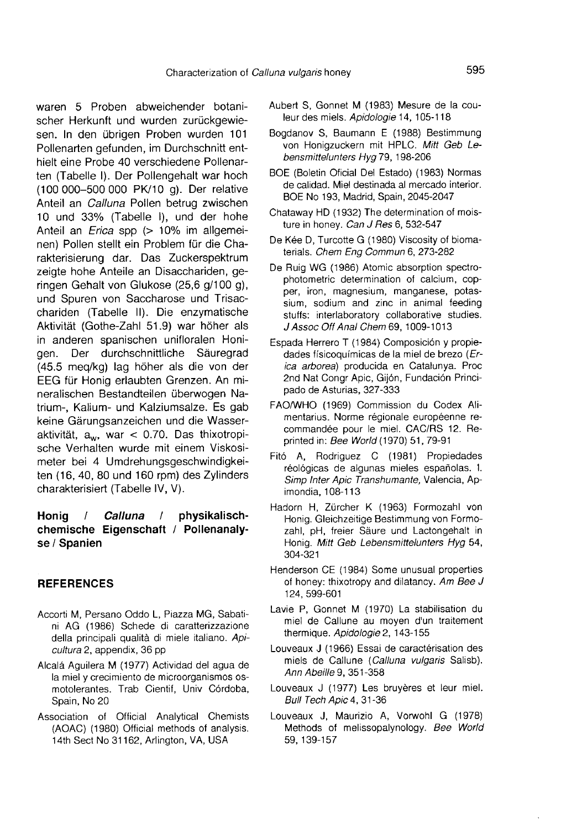waren 5 Proben abweichender botanischer Herkunft und wurden zurückgewie sen. In den übrigen Proben wurden 101 Pollenarten gefunden, im Durchschnitt enthielt eine Probe 40 verschiedene Pollenarten (Tabelle I). Der Pollengehalt war hoch (100 000-500 000 PK/10 g). Der relative Anteil an Calluna Pollen betrug zwischen 10 und 33% (Tabelle I), und der hohe Anteil an *Erica* spp (> 10% im allgemeinen) Pollen stellt ein Problem für die Charakterisierung dar. Das Zuckerspektrum zeigte hohe Anteile an Disacchariden, geringen Gehalt von Glukose (25,6 g/100 g), und Spuren von Saccharose und Trisacchariden (Tabelle II). Die enzymatische Aktivität (Gothe-Zahl 51.9) war höher als in anderen spanischen unifloralen Honi-<br>gen. Der durchschnittliche Säuregrad Der durchschnittliche Säuregrad (45.5 meq/kg) lag höher als die von der EEG für Honig erlaubten Grenzen. An mineralischen Bestandteilen überwogen Natrium-, Kalium- und Kalziumsalze. Es gab keine Gärungsanzeichen und die Wasseraktivität, aw, war < 0.70. Das thixotropische Verhalten wurde mit einem Viskosimeter bei 4 Umdrehungsgeschwindigkeiten (16, 40, 80 und 160 rpm) des Zylinders charakterisiert (Tabelle IV, V).

#### Honig / Calluna / physikalischchemische Eigenschaft / Pollenanaly se / Spanien

#### **REFERENCES**

- Accorti M, Persano Oddo L, Piazza MG, Sabatini AG (1986) Schede di caratterizzazione della principali qualità di miele italiano. Apicultura 2, appendix, 36 pp
- Alcalá Aguilera M (1977) Actividad del agua de la miel y crecimiento de microorganismos osmotolerantes. Trab Cientif, Univ Córdoba, Spain, No 20
- Association of Official Analytical Chemists (AOAC) (1980) Official methods of analysis. 14th Sect No 31162, Arlington, VA, USA
- Aubert S, Gonnet M (1983) Mesure de la couleur des miels. Apidologie 14, 105-118
- Bogdanov S, Baumann E (1988) Bestimmung von Honigzuckern mit HPLC. Mitt Geb Lebensmittelunters Hyg 79, 198-206
- BOE (Boletin Oficial Del Estado) (1983) Normas de calidad. Miel destinada al mercado interior. BOE No 193, Madrid, Spain, 2045-2047
- Chataway HD (1932) The determination of moisture in honey. Can J Res 6, 532-547
- De Kée D, Turcotte G (1980) Viscosity of biomaterials. Chem Eng Commun 6, 273-282
- De Ruig WG (1986) Atomic absorption spectrophotometric determination of calcium, copper, iron, magnesium, manganese, potassium, sodium and zinc in animal feeding stuffs: interlaboratory collaborative studies. J Assoc Off Anal Chem 69, 1009-1013
- Espada Herrero T (1984) Composición y propiedades físicoquímicas de la miel de brezo (Erica arborea) producida en Catalunya. Proc 2nd Nat Congr Apic, Gijón, Fundación Principado de Asturias, 327-333
- FAO/WHO (1969) Commission du Codex Alimentarius. Norme régionale européenne recommandée pour le miel. CAC/RS 12. Reprinted in: Bee World (1970) 51, 79-91
- Fitó A, Rodriguez C (1981) Propiedades réológicas de algunas mieles españolas. I. Simp Inter Apic Transhumante, Valencia, Apimondia, 108-113
- Hadorn H, Zürcher K (1963) Formozahl von Honig. Gleichzeitige Bestimmung von Formozahl, pH, freier Säure und Lactongehalt in Honig. Mitt Geb Lebensmittelunters Hyg 54, 304-321
- Henderson CE (1984) Some unusual properties of honey: thixotropy and dilatancy. Am Bee  $J$ 124, 599-601
- Lavie P, Gonnet M (1970) La stabilisation du miel de Callune au moyen d'un traitement thermique. Apidologie 2, 143-155
- Louveaux J (1966) Essai de caractérisation des miels de Callune (Calluna vulgaris Salisb). Ann Abeille 9, 351-358
- Louveaux J (1977) Les bruyères et leur miel. Bull Tech Apic 4, 31-36
- Louveaux J, Maurizio A, Vorwohl G (1978) Methods of melissopalynology. Bee World 59, 139-157